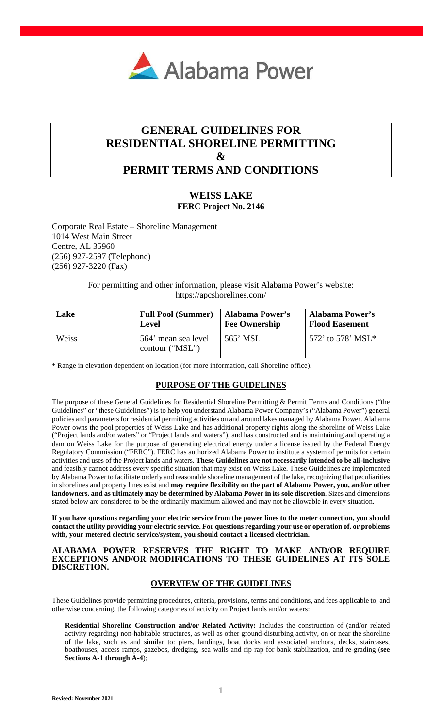

# **GENERAL GUIDELINES FOR RESIDENTIAL SHORELINE PERMITTING & PERMIT TERMS AND CONDITIONS**

## **WEISS LAKE FERC Project No. 2146**

Corporate Real Estate – Shoreline Management 1014 West Main Street Centre, AL 35960 (256) 927-2597 (Telephone) (256) 927-3220 (Fax)

> For permitting and other information, please visit Alabama Power's website: <https://apcshorelines.com/>

| Lake  | <b>Full Pool (Summer)</b>              | <b>Alabama Power's</b> | <b>Alabama Power's</b> |
|-------|----------------------------------------|------------------------|------------------------|
|       | Level                                  | <b>Fee Ownership</b>   | <b>Flood Easement</b>  |
| Weiss | 564' mean sea level<br>contour ("MSL") | 565' MSL               | 572' to 578' MSL*      |

**\*** Range in elevation dependent on location (for more information, call Shoreline office).

## **PURPOSE OF THE GUIDELINES**

The purpose of these General Guidelines for Residential Shoreline Permitting & Permit Terms and Conditions ("the Guidelines" or "these Guidelines") is to help you understand Alabama Power Company's ("Alabama Power") general policies and parameters for residential permitting activities on and around lakes managed by Alabama Power. Alabama Power owns the pool properties of Weiss Lake and has additional property rights along the shoreline of Weiss Lake ("Project lands and/or waters" or "Project lands and waters"), and has constructed and is maintaining and operating a dam on Weiss Lake for the purpose of generating electrical energy under a license issued by the Federal Energy Regulatory Commission ("FERC"). FERC has authorized Alabama Power to institute a system of permits for certain activities and uses of the Project lands and waters. **These Guidelines are not necessarily intended to be all-inclusive**  and feasibly cannot address every specific situation that may exist on Weiss Lake. These Guidelines are implemented by Alabama Power to facilitate orderly and reasonable shoreline management of the lake, recognizing that peculiarities in shorelines and property lines exist and **may require flexibility on the part of Alabama Power, you, and/or other landowners, and as ultimately may be determined by Alabama Power in its sole discretion**. Sizes and dimensions stated below are considered to be the ordinarily maximum allowed and may not be allowable in every situation.

**If you have questions regarding your electric service from the power lines to the meter connection, you should contact the utility providing your electric service. For questions regarding your use or operation of, or problems with, your metered electric service/system, you should contact a licensed electrician.** 

### **ALABAMA POWER RESERVES THE RIGHT TO MAKE AND/OR REQUIRE EXCEPTIONS AND/OR MODIFICATIONS TO THESE GUIDELINES AT ITS SOLE DISCRETION.**

## **OVERVIEW OF THE GUIDELINES**

These Guidelines provide permitting procedures, criteria, provisions, terms and conditions, and fees applicable to, and otherwise concerning, the following categories of activity on Project lands and/or waters:

**Residential Shoreline Construction and/or Related Activity:** Includes the construction of (and/or related activity regarding) non-habitable structures, as well as other ground-disturbing activity, on or near the shoreline of the lake, such as and similar to: piers, landings, boat docks and associated anchors, decks, staircases, boathouses, access ramps, gazebos, dredging, sea walls and rip rap for bank stabilization, and re-grading (**see Sections A-1 through A-4**);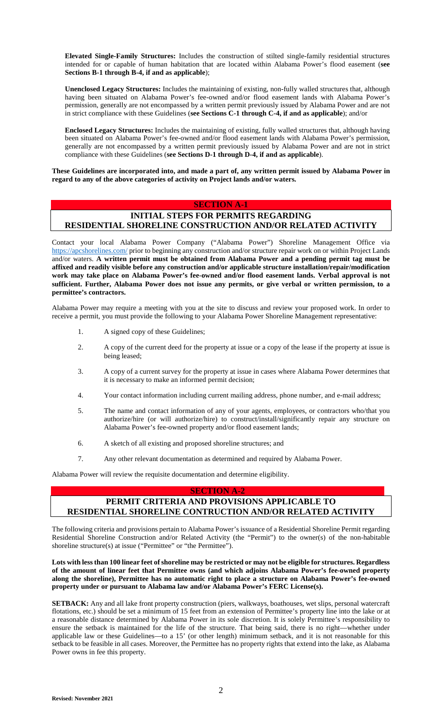**Elevated Single-Family Structures:** Includes the construction of stilted single-family residential structures intended for or capable of human habitation that are located within Alabama Power's flood easement (**see Sections B-1 through B-4, if and as applicable**);

**Unenclosed Legacy Structures:** Includes the maintaining of existing, non-fully walled structures that, although having been situated on Alabama Power's fee-owned and/or flood easement lands with Alabama Power's permission, generally are not encompassed by a written permit previously issued by Alabama Power and are not in strict compliance with these Guidelines (**see Sections C-1 through C-4, if and as applicable**); and/or

**Enclosed Legacy Structures:** Includes the maintaining of existing, fully walled structures that, although having been situated on Alabama Power's fee-owned and/or flood easement lands with Alabama Power's permission, generally are not encompassed by a written permit previously issued by Alabama Power and are not in strict compliance with these Guidelines (**see Sections D-1 through D-4, if and as applicable**).

**These Guidelines are incorporated into, and made a part of, any written permit issued by Alabama Power in regard to any of the above categories of activity on Project lands and/or waters.** 

### **SECTION A-1**

## **INITIAL STEPS FOR PERMITS REGARDING RESIDENTIAL SHORELINE CONSTRUCTION AND/OR RELATED ACTIVITY**

[Contact your local Ala](https://apcshorelines.com/)bama Power Company ("Alabama Power") Shoreline Management Office via https://apcshorelines.com/ prior to beginning any construction and/or structure repair work on or within Project Lands and/or waters. **A written permit must be obtained from Alabama Power and a pending permit tag must be affixed and readily visible before any construction and/or applicable structure installation/repair/modification work may take place on Alabama Power's fee-owned and/or flood easement lands. Verbal approval is not sufficient. Further, Alabama Power does not issue any permits, or give verbal or written permission, to a permittee's contractors.**

Alabama Power may require a meeting with you at the site to discuss and review your proposed work. In order to receive a permit, you must provide the following to your Alabama Power Shoreline Management representative:

- 1. A signed copy of these Guidelines;
- 2. A copy of the current deed for the property at issue or a copy of the lease if the property at issue is being leased;
- 3. A copy of a current survey for the property at issue in cases where Alabama Power determines that it is necessary to make an informed permit decision;
- 4. Your contact information including current mailing address, phone number, and e-mail address;
- 5. The name and contact information of any of your agents, employees, or contractors who/that you authorize/hire (or will authorize/hire) to construct/install/significantly repair any structure on Alabama Power's fee-owned property and/or flood easement lands;
- 6. A sketch of all existing and proposed shoreline structures; and
- 7. Any other relevant documentation as determined and required by Alabama Power.

Alabama Power will review the requisite documentation and determine eligibility.

### **SECTION A-2**

## **PERMIT CRITERIA AND PROVISIONS APPLICABLE TO RESIDENTIAL SHORELINE CONTRUCTION AND/OR RELATED ACTIVITY**

The following criteria and provisions pertain to Alabama Power's issuance of a Residential Shoreline Permit regarding Residential Shoreline Construction and/or Related Activity (the "Permit") to the owner(s) of the non-habitable shoreline structure(s) at issue ("Permittee" or "the Permittee").

**Lots with less than 100 linear feet of shoreline may be restricted or may not be eligible for structures. Regardless of the amount of linear feet that Permittee owns (and which adjoins Alabama Power's fee-owned property along the shoreline), Permittee has no automatic right to place a structure on Alabama Power's fee-owned property under or pursuant to Alabama law and/or Alabama Power's FERC License(s).** 

**SETBACK:** Any and all lake front property construction (piers, walkways, boathouses, wet slips, personal watercraft flotations, etc.) should be set a minimum of 15 feet from an extension of Permittee's property line into the lake or at a reasonable distance determined by Alabama Power in its sole discretion. It is solely Permittee's responsibility to ensure the setback is maintained for the life of the structure. That being said, there is no right—whether under applicable law or these Guidelines—to a 15' (or other length) minimum setback, and it is not reasonable for this setback to be feasible in all cases. Moreover, the Permittee has no property rights that extend into the lake, as Alabama Power owns in fee this property.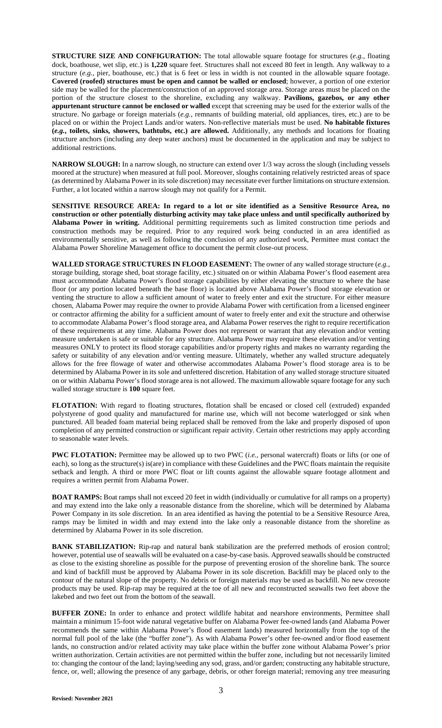**STRUCTURE SIZE AND CONFIGURATION:** The total allowable square footage for structures (*e.g.*, floating dock, boathouse, wet slip, etc.) is **1,220** square feet. Structures shall not exceed 80 feet in length. Any walkway to a structure (*e.g.*, pier, boathouse, etc.) that is 6 feet or less in width is not counted in the allowable square footage. **Covered (roofed) structures must be open and cannot be walled or enclosed**; however, a portion of one exterior side may be walled for the placement/construction of an approved storage area. Storage areas must be placed on the portion of the structure closest to the shoreline, excluding any walkway. **Pavilions, gazebos, or any other appurtenant structure cannot be enclosed or walled** except that screening may be used for the exterior walls of the structure. No garbage or foreign materials (*e.g.*, remnants of building material, old appliances, tires, etc.) are to be placed on or within the Project Lands and/or waters. Non-reflective materials must be used. **No habitable fixtures (***e.g.***, toilets, sinks, showers, bathtubs, etc.) are allowed.** Additionally, any methods and locations for floating structure anchors (including any deep water anchors) must be documented in the application and may be subject to additional restrictions.

**NARROW SLOUGH:** In a narrow slough, no structure can extend over 1/3 way across the slough (including vessels moored at the structure) when measured at full pool. Moreover, sloughs containing relatively restricted areas of space (as determined by Alabama Power in its sole discretion) may necessitate ever further limitations on structure extension. Further, a lot located within a narrow slough may not qualify for a Permit.

**SENSITIVE RESOURCE AREA: In regard to a lot or site identified as a Sensitive Resource Area, no construction or other potentially disturbing activity may take place unless and until specifically authorized by Alabama Power in writing.** Additional permitting requirements such as limited construction time periods and construction methods may be required. Prior to any required work being conducted in an area identified as environmentally sensitive, as well as following the conclusion of any authorized work, Permittee must contact the Alabama Power Shoreline Management office to document the permit close-out process.

**WALLED STORAGE STRUCTURES IN FLOOD EASEMENT:** The owner of any walled storage structure (*e.g.*, storage building, storage shed, boat storage facility, etc.) situated on or within Alabama Power's flood easement area must accommodate Alabama Power's flood storage capabilities by either elevating the structure to where the base floor (or any portion located beneath the base floor) is located above Alabama Power's flood storage elevation or venting the structure to allow a sufficient amount of water to freely enter and exit the structure. For either measure chosen, Alabama Power may require the owner to provide Alabama Power with certification from a licensed engineer or contractor affirming the ability for a sufficient amount of water to freely enter and exit the structure and otherwise to accommodate Alabama Power's flood storage area, and Alabama Power reserves the right to require recertification of these requirements at any time. Alabama Power does not represent or warrant that any elevation and/or venting measure undertaken is safe or suitable for any structure. Alabama Power may require these elevation and/or venting measures ONLY to protect its flood storage capabilities and/or property rights and makes no warranty regarding the safety or suitability of any elevation and/or venting measure. Ultimately, whether any walled structure adequately allows for the free flowage of water and otherwise accommodates Alabama Power's flood storage area is to be determined by Alabama Power in its sole and unfettered discretion. Habitation of any walled storage structure situated on or within Alabama Power's flood storage area is not allowed. The maximum allowable square footage for any such walled storage structure is **100** square feet.

**FLOTATION:** With regard to floating structures, flotation shall be encased or closed cell (extruded) expanded polystyrene of good quality and manufactured for marine use, which will not become waterlogged or sink when punctured. All beaded foam material being replaced shall be removed from the lake and properly disposed of upon completion of any permitted construction or significant repair activity. Certain other restrictions may apply according to seasonable water levels.

**PWC FLOTATION:** Permittee may be allowed up to two PWC (*i.e.*, personal watercraft) floats or lifts (or one of each), so long as the structure(s) is(are) in compliance with these Guidelines and the PWC floats maintain the requisite setback and length. A third or more PWC float or lift counts against the allowable square footage allotment and requires a written permit from Alabama Power.

**BOAT RAMPS:** Boat ramps shall not exceed 20 feet in width (individually or cumulative for all ramps on a property) and may extend into the lake only a reasonable distance from the shoreline, which will be determined by Alabama Power Company in its sole discretion. In an area identified as having the potential to be a Sensitive Resource Area, ramps may be limited in width and may extend into the lake only a reasonable distance from the shoreline as determined by Alabama Power in its sole discretion.

**BANK STABILIZATION:** Rip-rap and natural bank stabilization are the preferred methods of erosion control; however, potential use of seawalls will be evaluated on a case-by-case basis. Approved seawalls should be constructed as close to the existing shoreline as possible for the purpose of preventing erosion of the shoreline bank. The source and kind of backfill must be approved by Alabama Power in its sole discretion. Backfill may be placed only to the contour of the natural slope of the property. No debris or foreign materials may be used as backfill. No new creosote products may be used. Rip-rap may be required at the toe of all new and reconstructed seawalls two feet above the lakebed and two feet out from the bottom of the seawall.

**BUFFER ZONE:** In order to enhance and protect wildlife habitat and nearshore environments, Permittee shall maintain a minimum 15-foot wide natural vegetative buffer on Alabama Power fee-owned lands (and Alabama Power recommends the same within Alabama Power's flood easement lands) measured horizontally from the top of the normal full pool of the lake (the "buffer zone"). As with Alabama Power's other fee-owned and/or flood easement lands, no construction and/or related activity may take place within the buffer zone without Alabama Power's prior written authorization. Certain activities are not permitted within the buffer zone, including but not necessarily limited to: changing the contour of the land; laying/seeding any sod, grass, and/or garden; constructing any habitable structure, fence, or, well; allowing the presence of any garbage, debris, or other foreign material; removing any tree measuring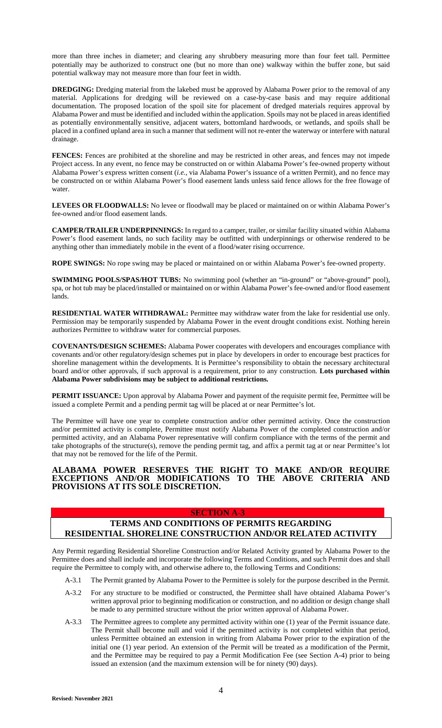more than three inches in diameter; and clearing any shrubbery measuring more than four feet tall. Permittee potentially may be authorized to construct one (but no more than one) walkway within the buffer zone, but said potential walkway may not measure more than four feet in width.

**DREDGING:** Dredging material from the lakebed must be approved by Alabama Power prior to the removal of any material. Applications for dredging will be reviewed on a case-by-case basis and may require additional documentation. The proposed location of the spoil site for placement of dredged materials requires approval by Alabama Power and must be identified and included within the application. Spoils may not be placed in areas identified as potentially environmentally sensitive, adjacent waters, bottomland hardwoods, or wetlands, and spoils shall be placed in a confined upland area in such a manner that sediment will not re-enter the waterway or interfere with natural drainage.

**FENCES:** Fences are prohibited at the shoreline and may be restricted in other areas, and fences may not impede Project access. In any event, no fence may be constructed on or within Alabama Power's fee-owned property without Alabama Power's express written consent (*i.e.*, via Alabama Power's issuance of a written Permit), and no fence may be constructed on or within Alabama Power's flood easement lands unless said fence allows for the free flowage of water.

LEVEES OR FLOODWALLS: No levee or floodwall may be placed or maintained on or within Alabama Power's fee-owned and/or flood easement lands.

**CAMPER/TRAILER UNDERPINNINGS:** In regard to a camper, trailer, or similar facility situated within Alabama Power's flood easement lands, no such facility may be outfitted with underpinnings or otherwise rendered to be anything other than immediately mobile in the event of a flood/water rising occurrence.

**ROPE SWINGS:** No rope swing may be placed or maintained on or within Alabama Power's fee-owned property.

**SWIMMING POOLS/SPAS/HOT TUBS:** No swimming pool (whether an "in-ground" or "above-ground" pool), spa, or hot tub may be placed/installed or maintained on or within Alabama Power's fee-owned and/or flood easement lands.

RESIDENTIAL WATER WITHDRAWAL: Permittee may withdraw water from the lake for residential use only. Permission may be temporarily suspended by Alabama Power in the event drought conditions exist. Nothing herein authorizes Permittee to withdraw water for commercial purposes.

**COVENANTS/DESIGN SCHEMES:** Alabama Power cooperates with developers and encourages compliance with covenants and/or other regulatory/design schemes put in place by developers in order to encourage best practices for shoreline management within the developments. It is Permittee's responsibility to obtain the necessary architectural board and/or other approvals, if such approval is a requirement, prior to any construction. **Lots purchased within Alabama Power subdivisions may be subject to additional restrictions.** 

**PERMIT ISSUANCE:** Upon approval by Alabama Power and payment of the requisite permit fee, Permittee will be issued a complete Permit and a pending permit tag will be placed at or near Permittee's lot.

The Permittee will have one year to complete construction and/or other permitted activity. Once the construction and/or permitted activity is complete, Permittee must notify Alabama Power of the completed construction and/or permitted activity, and an Alabama Power representative will confirm compliance with the terms of the permit and take photographs of the structure(s), remove the pending permit tag, and affix a permit tag at or near Permittee's lot that may not be removed for the life of the Permit.

## **ALABAMA POWER RESERVES THE RIGHT TO MAKE AND/OR REQUIRE EXCEPTIONS AND/OR MODIFICATIONS TO THE ABOVE CRITERIA AND PROVISIONS AT ITS SOLE DISCRETION.**

### **SECTION A-3**

## **TERMS AND CONDITIONS OF PERMITS REGARDING RESIDENTIAL SHORELINE CONSTRUCTION AND/OR RELATED ACTIVITY**

Any Permit regarding Residential Shoreline Construction and/or Related Activity granted by Alabama Power to the Permittee does and shall include and incorporate the following Terms and Conditions, and such Permit does and shall require the Permittee to comply with, and otherwise adhere to, the following Terms and Conditions:

- A-3.1 The Permit granted by Alabama Power to the Permittee is solely for the purpose described in the Permit.
- A-3.2 For any structure to be modified or constructed, the Permittee shall have obtained Alabama Power's written approval prior to beginning modification or construction, and no addition or design change shall be made to any permitted structure without the prior written approval of Alabama Power.
- A-3.3 The Permittee agrees to complete any permitted activity within one (1) year of the Permit issuance date. The Permit shall become null and void if the permitted activity is not completed within that period, unless Permittee obtained an extension in writing from Alabama Power prior to the expiration of the initial one (1) year period. An extension of the Permit will be treated as a modification of the Permit, and the Permittee may be required to pay a Permit Modification Fee (see Section A-4) prior to being issued an extension (and the maximum extension will be for ninety (90) days).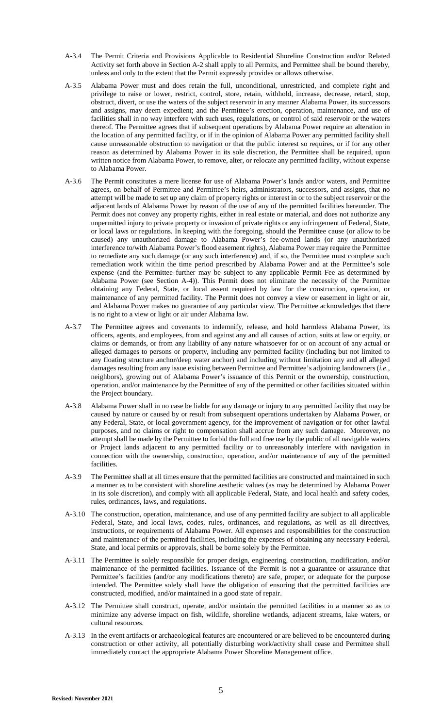- A-3.4 The Permit Criteria and Provisions Applicable to Residential Shoreline Construction and/or Related Activity set forth above in Section A-2 shall apply to all Permits, and Permittee shall be bound thereby, unless and only to the extent that the Permit expressly provides or allows otherwise.
- A-3.5 Alabama Power must and does retain the full, unconditional, unrestricted, and complete right and privilege to raise or lower, restrict, control, store, retain, withhold, increase, decrease, retard, stop, obstruct, divert, or use the waters of the subject reservoir in any manner Alabama Power, its successors and assigns, may deem expedient; and the Permittee's erection, operation, maintenance, and use of facilities shall in no way interfere with such uses, regulations, or control of said reservoir or the waters thereof. The Permittee agrees that if subsequent operations by Alabama Power require an alteration in the location of any permitted facility, or if in the opinion of Alabama Power any permitted facility shall cause unreasonable obstruction to navigation or that the public interest so requires, or if for any other reason as determined by Alabama Power in its sole discretion, the Permittee shall be required, upon written notice from Alabama Power, to remove, alter, or relocate any permitted facility, without expense to Alabama Power.
- A-3.6 The Permit constitutes a mere license for use of Alabama Power's lands and/or waters, and Permittee agrees, on behalf of Permittee and Permittee's heirs, administrators, successors, and assigns, that no attempt will be made to set up any claim of property rights or interest in or to the subject reservoir or the adjacent lands of Alabama Power by reason of the use of any of the permitted facilities hereunder. The Permit does not convey any property rights, either in real estate or material, and does not authorize any unpermitted injury to private property or invasion of private rights or any infringement of Federal, State, or local laws or regulations. In keeping with the foregoing, should the Permittee cause (or allow to be caused) any unauthorized damage to Alabama Power's fee-owned lands (or any unauthorized interference to/with Alabama Power's flood easement rights), Alabama Power may require the Permittee to remediate any such damage (or any such interference) and, if so, the Permittee must complete such remediation work within the time period prescribed by Alabama Power and at the Permittee's sole expense (and the Permittee further may be subject to any applicable Permit Fee as determined by Alabama Power (see Section A-4)). This Permit does not eliminate the necessity of the Permittee obtaining any Federal, State, or local assent required by law for the construction, operation, or maintenance of any permitted facility. The Permit does not convey a view or easement in light or air, and Alabama Power makes no guarantee of any particular view. The Permittee acknowledges that there is no right to a view or light or air under Alabama law.
- A-3.7 The Permittee agrees and covenants to indemnify, release, and hold harmless Alabama Power, its officers, agents, and employees, from and against any and all causes of action, suits at law or equity, or claims or demands, or from any liability of any nature whatsoever for or on account of any actual or alleged damages to persons or property, including any permitted facility (including but not limited to any floating structure anchor/deep water anchor) and including without limitation any and all alleged damages resulting from any issue existing between Permittee and Permittee's adjoining landowners (*i.e.*, neighbors), growing out of Alabama Power's issuance of this Permit or the ownership, construction, operation, and/or maintenance by the Permittee of any of the permitted or other facilities situated within the Project boundary.
- A-3.8 Alabama Power shall in no case be liable for any damage or injury to any permitted facility that may be caused by nature or caused by or result from subsequent operations undertaken by Alabama Power, or any Federal, State, or local government agency, for the improvement of navigation or for other lawful purposes, and no claims or right to compensation shall accrue from any such damage. Moreover, no attempt shall be made by the Permittee to forbid the full and free use by the public of all navigable waters or Project lands adjacent to any permitted facility or to unreasonably interfere with navigation in connection with the ownership, construction, operation, and/or maintenance of any of the permitted facilities.
- A-3.9 The Permittee shall at all times ensure that the permitted facilities are constructed and maintained in such a manner as to be consistent with shoreline aesthetic values (as may be determined by Alabama Power in its sole discretion), and comply with all applicable Federal, State, and local health and safety codes, rules, ordinances, laws, and regulations.
- A-3.10 The construction, operation, maintenance, and use of any permitted facility are subject to all applicable Federal, State, and local laws, codes, rules, ordinances, and regulations, as well as all directives, instructions, or requirements of Alabama Power. All expenses and responsibilities for the construction and maintenance of the permitted facilities, including the expenses of obtaining any necessary Federal, State, and local permits or approvals, shall be borne solely by the Permittee.
- A-3.11 The Permittee is solely responsible for proper design, engineering, construction, modification, and/or maintenance of the permitted facilities. Issuance of the Permit is not a guarantee or assurance that Permittee's facilities (and/or any modifications thereto) are safe, proper, or adequate for the purpose intended. The Permittee solely shall have the obligation of ensuring that the permitted facilities are constructed, modified, and/or maintained in a good state of repair.
- A-3.12 The Permittee shall construct, operate, and/or maintain the permitted facilities in a manner so as to minimize any adverse impact on fish, wildlife, shoreline wetlands, adjacent streams, lake waters, or cultural resources.
- A-3.13 In the event artifacts or archaeological features are encountered or are believed to be encountered during construction or other activity, all potentially disturbing work/activity shall cease and Permittee shall immediately contact the appropriate Alabama Power Shoreline Management office.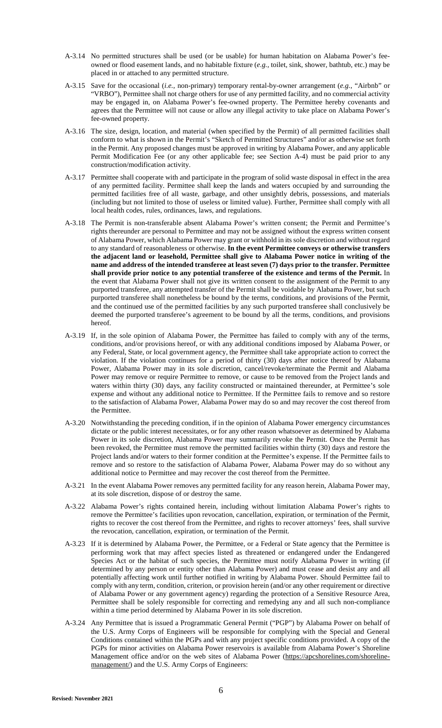- A-3.14 No permitted structures shall be used (or be usable) for human habitation on Alabama Power's feeowned or flood easement lands, and no habitable fixture (*e.g.*, toilet, sink, shower, bathtub, etc.) may be placed in or attached to any permitted structure.
- A-3.15 Save for the occasional (*i.e.*, non-primary) temporary rental-by-owner arrangement (*e.g.*, "Airbnb" or "VRBO"), Permittee shall not charge others for use of any permitted facility, and no commercial activity may be engaged in, on Alabama Power's fee-owned property. The Permittee hereby covenants and agrees that the Permittee will not cause or allow any illegal activity to take place on Alabama Power's fee-owned property.
- A-3.16 The size, design, location, and material (when specified by the Permit) of all permitted facilities shall conform to what is shown in the Permit's "Sketch of Permitted Structures" and/or as otherwise set forth in the Permit. Any proposed changes must be approved in writing by Alabama Power, and any applicable Permit Modification Fee (or any other applicable fee; see Section A-4) must be paid prior to any construction/modification activity.
- A-3.17 Permittee shall cooperate with and participate in the program of solid waste disposal in effect in the area of any permitted facility. Permittee shall keep the lands and waters occupied by and surrounding the permitted facilities free of all waste, garbage, and other unsightly debris, possessions, and materials (including but not limited to those of useless or limited value). Further, Permittee shall comply with all local health codes, rules, ordinances, laws, and regulations.
- A-3.18 The Permit is non-transferable absent Alabama Power's written consent; the Permit and Permittee's rights thereunder are personal to Permittee and may not be assigned without the express written consent of Alabama Power, which Alabama Power may grant or withhold in its sole discretion and without regard to any standard of reasonableness or otherwise. **In the event Permittee conveys or otherwise transfers the adjacent land or leasehold, Permittee shall give to Alabama Power notice in writing of the name and address of the intended transferee at least seven (7) days prior to the transfer. Permittee shall provide prior notice to any potential transferee of the existence and terms of the Permit.** In the event that Alabama Power shall not give its written consent to the assignment of the Permit to any purported transferee, any attempted transfer of the Permit shall be voidable by Alabama Power, but such purported transferee shall nonetheless be bound by the terms, conditions, and provisions of the Permit, and the continued use of the permitted facilities by any such purported transferee shall conclusively be deemed the purported transferee's agreement to be bound by all the terms, conditions, and provisions hereof.
- A-3.19 If, in the sole opinion of Alabama Power, the Permittee has failed to comply with any of the terms, conditions, and/or provisions hereof, or with any additional conditions imposed by Alabama Power, or any Federal, State, or local government agency, the Permittee shall take appropriate action to correct the violation. If the violation continues for a period of thirty (30) days after notice thereof by Alabama Power, Alabama Power may in its sole discretion, cancel/revoke/terminate the Permit and Alabama Power may remove or require Permittee to remove, or cause to be removed from the Project lands and waters within thirty (30) days, any facility constructed or maintained thereunder, at Permittee's sole expense and without any additional notice to Permittee. If the Permittee fails to remove and so restore to the satisfaction of Alabama Power, Alabama Power may do so and may recover the cost thereof from the Permittee.
- A-3.20 Notwithstanding the preceding condition, if in the opinion of Alabama Power emergency circumstances dictate or the public interest necessitates, or for any other reason whatsoever as determined by Alabama Power in its sole discretion, Alabama Power may summarily revoke the Permit. Once the Permit has been revoked, the Permittee must remove the permitted facilities within thirty (30) days and restore the Project lands and/or waters to their former condition at the Permittee's expense. If the Permittee fails to remove and so restore to the satisfaction of Alabama Power, Alabama Power may do so without any additional notice to Permittee and may recover the cost thereof from the Permittee.
- A-3.21 In the event Alabama Power removes any permitted facility for any reason herein, Alabama Power may, at its sole discretion, dispose of or destroy the same.
- A-3.22 Alabama Power's rights contained herein, including without limitation Alabama Power's rights to remove the Permittee's facilities upon revocation, cancellation, expiration, or termination of the Permit, rights to recover the cost thereof from the Permittee, and rights to recover attorneys' fees, shall survive the revocation, cancellation, expiration, or termination of the Permit.
- A-3.23 If it is determined by Alabama Power, the Permittee, or a Federal or State agency that the Permittee is performing work that may affect species listed as threatened or endangered under the Endangered Species Act or the habitat of such species, the Permittee must notify Alabama Power in writing (if determined by any person or entity other than Alabama Power) and must cease and desist any and all potentially affecting work until further notified in writing by Alabama Power. Should Permittee fail to comply with any term, condition, criterion, or provision herein (and/or any other requirement or directive of Alabama Power or any government agency) regarding the protection of a Sensitive Resource Area, Permittee shall be solely responsible for correcting and remedying any and all such non-compliance within a time period determined by Alabama Power in its sole discretion.
- A-3.24 Any Permittee that is issued a Programmatic General Permit ("PGP") by Alabama Power on behalf of the U.S. Army Corps of Engineers will be responsible for complying with the Special and General Conditions contained within the PGPs and with any project specific conditions provided. A copy of the PGPs for minor activities on Alabama Power reservoirs is availab[le from Alabama Power's Shoreline](https://apcshorelines.com/shoreline-management/)  Management office and/or on the web sites of Alabama Power (https://apcshorelines.com/shorelinemanagement/) and the U.S. Army Corps of Engineers: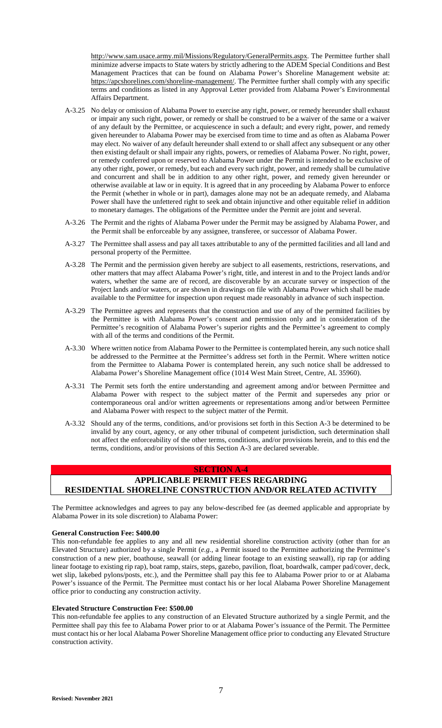http://www.sam.usace.army.mil/Missions/Regulatory/GeneralPermits.aspx. The Permittee further shall minimize adverse impacts to State waters by strictly adhering to the ADEM Special Conditions and Best Management Practices that can be found on Alabama Power's Shoreline Management website at: https://apcshorelines.com/shoreline-management/. The Permittee further shall comply with any specific terms and conditions as listed in any Approval Letter provided from Alabama Power's Environmental Affairs Department.

- A-3.25 No delay or omission of Alabama Power to exercise any right, power, or remedy hereunder shall exhaust or impair any such right, power, or remedy or shall be construed to be a waiver of the same or a waiver of any default by the Permittee, or acquiescence in such a default; and every right, power, and remedy given hereunder to Alabama Power may be exercised from time to time and as often as Alabama Power may elect. No waiver of any default hereunder shall extend to or shall affect any subsequent or any other then existing default or shall impair any rights, powers, or remedies of Alabama Power. No right, power, or remedy conferred upon or reserved to Alabama Power under the Permit is intended to be exclusive of any other right, power, or remedy, but each and every such right, power, and remedy shall be cumulative and concurrent and shall be in addition to any other right, power, and remedy given hereunder or otherwise available at law or in equity. It is agreed that in any proceeding by Alabama Power to enforce the Permit (whether in whole or in part), damages alone may not be an adequate remedy, and Alabama Power shall have the unfettered right to seek and obtain injunctive and other equitable relief in addition to monetary damages. The obligations of the Permittee under the Permit are joint and several.
- A-3.26 The Permit and the rights of Alabama Power under the Permit may be assigned by Alabama Power, and the Permit shall be enforceable by any assignee, transferee, or successor of Alabama Power.
- A-3.27 The Permittee shall assess and pay all taxes attributable to any of the permitted facilities and all land and personal property of the Permittee.
- A-3.28 The Permit and the permission given hereby are subject to all easements, restrictions, reservations, and other matters that may affect Alabama Power's right, title, and interest in and to the Project lands and/or waters, whether the same are of record, are discoverable by an accurate survey or inspection of the Project lands and/or waters, or are shown in drawings on file with Alabama Power which shall be made available to the Permittee for inspection upon request made reasonably in advance of such inspection.
- A-3.29 The Permittee agrees and represents that the construction and use of any of the permitted facilities by the Permittee is with Alabama Power's consent and permission only and in consideration of the Permittee's recognition of Alabama Power's superior rights and the Permittee's agreement to comply with all of the terms and conditions of the Permit.
- A-3.30 Where written notice from Alabama Power to the Permittee is contemplated herein, any such notice shall be addressed to the Permittee at the Permittee's address set forth in the Permit. Where written notice from the Permittee to Alabama Power is contemplated herein, any such notice shall be addressed to Alabama Power's Shoreline Management office (1014 West Main Street, Centre, AL 35960).
- A-3.31 The Permit sets forth the entire understanding and agreement among and/or between Permittee and Alabama Power with respect to the subject matter of the Permit and supersedes any prior or contemporaneous oral and/or written agreements or representations among and/or between Permittee and Alabama Power with respect to the subject matter of the Permit.
- A-3.32 Should any of the terms, conditions, and/or provisions set forth in this Section A-3 be determined to be invalid by any court, agency, or any other tribunal of competent jurisdiction, such determination shall not affect the enforceability of the other terms, conditions, and/or provisions herein, and to this end the terms, conditions, and/or provisions of this Section A-3 are declared severable.

## **SECTION A-4 APPLICABLE PERMIT FEES REGARDING RESIDENTIAL SHORELINE CONSTRUCTION AND/OR RELATED ACTIVITY**

The Permittee acknowledges and agrees to pay any below-described fee (as deemed applicable and appropriate by Alabama Power in its sole discretion) to Alabama Power:

### **General Construction Fee: \$400.00**

This non-refundable fee applies to any and all new residential shoreline construction activity (other than for an Elevated Structure) authorized by a single Permit (*e.g.*, a Permit issued to the Permittee authorizing the Permittee's construction of a new pier, boathouse, seawall (or adding linear footage to an existing seawall), rip rap (or adding linear footage to existing rip rap), boat ramp, stairs, steps, gazebo, pavilion, float, boardwalk, camper pad/cover, deck, wet slip, lakebed pylons/posts, etc.), and the Permittee shall pay this fee to Alabama Power prior to or at Alabama Power's issuance of the Permit. The Permittee must contact his or her local Alabama Power Shoreline Management office prior to conducting any construction activity.

### **Elevated Structure Construction Fee: \$500.00**

This non-refundable fee applies to any construction of an Elevated Structure authorized by a single Permit, and the Permittee shall pay this fee to Alabama Power prior to or at Alabama Power's issuance of the Permit. The Permittee must contact his or her local Alabama Power Shoreline Management office prior to conducting any Elevated Structure construction activity.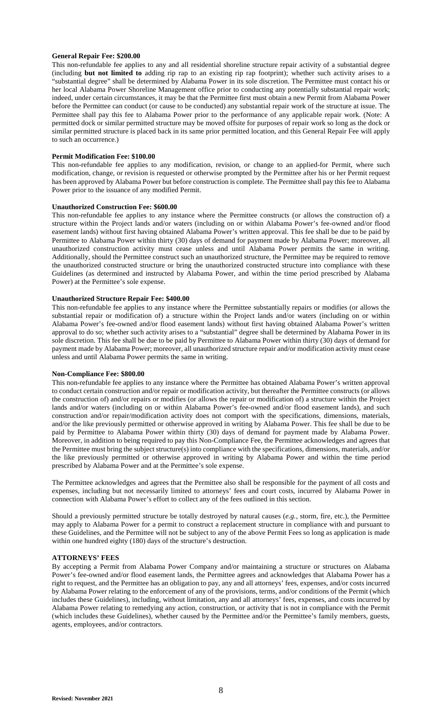### **General Repair Fee: \$200.00**

This non-refundable fee applies to any and all residential shoreline structure repair activity of a substantial degree (including **but not limited to** adding rip rap to an existing rip rap footprint); whether such activity arises to a "substantial degree" shall be determined by Alabama Power in its sole discretion. The Permittee must contact his or her local Alabama Power Shoreline Management office prior to conducting any potentially substantial repair work; indeed, under certain circumstances, it may be that the Permittee first must obtain a new Permit from Alabama Power before the Permittee can conduct (or cause to be conducted) any substantial repair work of the structure at issue. The Permittee shall pay this fee to Alabama Power prior to the performance of any applicable repair work. (Note: A permitted dock or similar permitted structure may be moved offsite for purposes of repair work so long as the dock or similar permitted structure is placed back in its same prior permitted location, and this General Repair Fee will apply to such an occurrence.)

### **Permit Modification Fee: \$100.00**

This non-refundable fee applies to any modification, revision, or change to an applied-for Permit, where such modification, change, or revision is requested or otherwise prompted by the Permittee after his or her Permit request has been approved by Alabama Power but before construction is complete. The Permittee shall pay this fee to Alabama Power prior to the issuance of any modified Permit.

#### **Unauthorized Construction Fee: \$600.00**

This non-refundable fee applies to any instance where the Permittee constructs (or allows the construction of) a structure within the Project lands and/or waters (including on or within Alabama Power's fee-owned and/or flood easement lands) without first having obtained Alabama Power's written approval. This fee shall be due to be paid by Permittee to Alabama Power within thirty (30) days of demand for payment made by Alabama Power; moreover, all unauthorized construction activity must cease unless and until Alabama Power permits the same in writing. Additionally, should the Permittee construct such an unauthorized structure, the Permittee may be required to remove the unauthorized constructed structure or bring the unauthorized constructed structure into compliance with these Guidelines (as determined and instructed by Alabama Power, and within the time period prescribed by Alabama Power) at the Permittee's sole expense.

#### **Unauthorized Structure Repair Fee: \$400.00**

This non-refundable fee applies to any instance where the Permittee substantially repairs or modifies (or allows the substantial repair or modification of) a structure within the Project lands and/or waters (including on or within Alabama Power's fee-owned and/or flood easement lands) without first having obtained Alabama Power's written approval to do so; whether such activity arises to a "substantial" degree shall be determined by Alabama Power in its sole discretion. This fee shall be due to be paid by Permittee to Alabama Power within thirty (30) days of demand for payment made by Alabama Power; moreover, all unauthorized structure repair and/or modification activity must cease unless and until Alabama Power permits the same in writing.

#### **Non-Compliance Fee: \$800.00**

This non-refundable fee applies to any instance where the Permittee has obtained Alabama Power's written approval to conduct certain construction and/or repair or modification activity, but thereafter the Permittee constructs (or allows the construction of) and/or repairs or modifies (or allows the repair or modification of) a structure within the Project lands and/or waters (including on or within Alabama Power's fee-owned and/or flood easement lands), and such construction and/or repair/modification activity does not comport with the specifications, dimensions, materials, and/or the like previously permitted or otherwise approved in writing by Alabama Power. This fee shall be due to be paid by Permittee to Alabama Power within thirty (30) days of demand for payment made by Alabama Power. Moreover, in addition to being required to pay this Non-Compliance Fee, the Permittee acknowledges and agrees that the Permittee must bring the subject structure(s) into compliance with the specifications, dimensions, materials, and/or the like previously permitted or otherwise approved in writing by Alabama Power and within the time period prescribed by Alabama Power and at the Permittee's sole expense.

The Permittee acknowledges and agrees that the Permittee also shall be responsible for the payment of all costs and expenses, including but not necessarily limited to attorneys' fees and court costs, incurred by Alabama Power in connection with Alabama Power's effort to collect any of the fees outlined in this section.

Should a previously permitted structure be totally destroyed by natural causes (*e.g.*, storm, fire, etc.), the Permittee may apply to Alabama Power for a permit to construct a replacement structure in compliance with and pursuant to these Guidelines, and the Permittee will not be subject to any of the above Permit Fees so long as application is made within one hundred eighty (180) days of the structure's destruction.

### **ATTORNEYS' FEES**

By accepting a Permit from Alabama Power Company and/or maintaining a structure or structures on Alabama Power's fee-owned and/or flood easement lands, the Permittee agrees and acknowledges that Alabama Power has a right to request, and the Permittee has an obligation to pay, any and all attorneys' fees, expenses, and/or costs incurred by Alabama Power relating to the enforcement of any of the provisions, terms, and/or conditions of the Permit (which includes these Guidelines), including, without limitation, any and all attorneys' fees, expenses, and costs incurred by Alabama Power relating to remedying any action, construction, or activity that is not in compliance with the Permit (which includes these Guidelines), whether caused by the Permittee and/or the Permittee's family members, guests, agents, employees, and/or contractors.